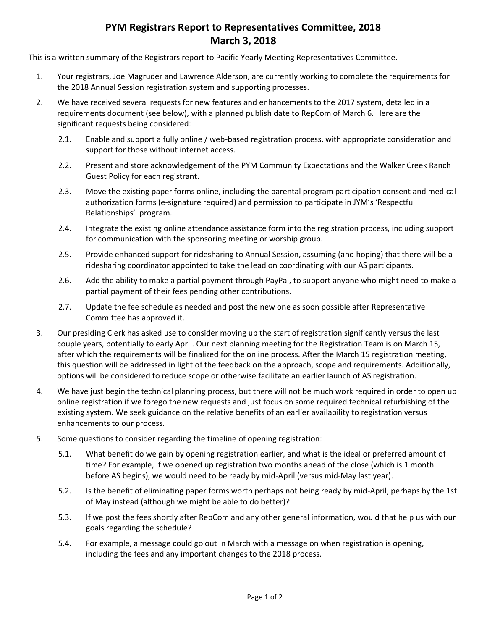## **PYM Registrars Report to Representatives Committee, 2018 March 3, 2018**

This is a written summary of the Registrars report to Pacific Yearly Meeting Representatives Committee.

- 1. Your registrars, Joe Magruder and Lawrence Alderson, are currently working to complete the requirements for the 2018 Annual Session registration system and supporting processes.
- 2. We have received several requests for new features and enhancements to the 2017 system, detailed in a requirements document (see below), with a planned publish date to RepCom of March 6. Here are the significant requests being considered:
	- 2.1. Enable and support a fully online / web-based registration process, with appropriate consideration and support for those without internet access.
	- 2.2. Present and store acknowledgement of the PYM Community Expectations and the Walker Creek Ranch Guest Policy for each registrant.
	- 2.3. Move the existing paper forms online, including the parental program participation consent and medical authorization forms (e-signature required) and permission to participate in JYM's 'Respectful Relationships' program.
	- 2.4. Integrate the existing online attendance assistance form into the registration process, including support for communication with the sponsoring meeting or worship group.
	- 2.5. Provide enhanced support for ridesharing to Annual Session, assuming (and hoping) that there will be a ridesharing coordinator appointed to take the lead on coordinating with our AS participants.
	- 2.6. Add the ability to make a partial payment through PayPal, to support anyone who might need to make a partial payment of their fees pending other contributions.
	- 2.7. Update the fee schedule as needed and post the new one as soon possible after Representative Committee has approved it.
- 3. Our presiding Clerk has asked use to consider moving up the start of registration significantly versus the last couple years, potentially to early April. Our next planning meeting for the Registration Team is on March 15, after which the requirements will be finalized for the online process. After the March 15 registration meeting, this question will be addressed in light of the feedback on the approach, scope and requirements. Additionally, options will be considered to reduce scope or otherwise facilitate an earlier launch of AS registration.
- 4. We have just begin the technical planning process, but there will not be much work required in order to open up online registration if we forego the new requests and just focus on some required technical refurbishing of the existing system. We seek guidance on the relative benefits of an earlier availability to registration versus enhancements to our process.
- 5. Some questions to consider regarding the timeline of opening registration:
	- 5.1. What benefit do we gain by opening registration earlier, and what is the ideal or preferred amount of time? For example, if we opened up registration two months ahead of the close (which is 1 month before AS begins), we would need to be ready by mid-April (versus mid-May last year).
	- 5.2. Is the benefit of eliminating paper forms worth perhaps not being ready by mid-April, perhaps by the 1st of May instead (although we might be able to do better)?
	- 5.3. If we post the fees shortly after RepCom and any other general information, would that help us with our goals regarding the schedule?
	- 5.4. For example, a message could go out in March with a message on when registration is opening, including the fees and any important changes to the 2018 process.